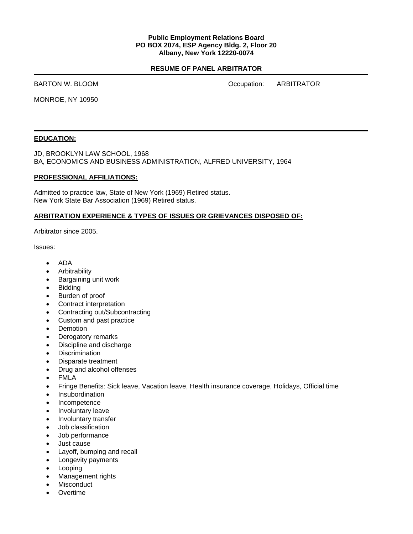#### **Public Employment Relations Board PO BOX 2074, ESP Agency Bldg. 2, Floor 20 Albany, New York 12220-0074**

### **RESUME OF PANEL ARBITRATOR**

BARTON W. BLOOM **DEVELOPED A CONSTRUCTER SERVICE OCCUPATION** Occupation: ARBITRATOR

MONROE, NY 10950

#### **EDUCATION:**

JD, BROOKLYN LAW SCHOOL, 1968 BA, ECONOMICS AND BUSINESS ADMINISTRATION, ALFRED UNIVERSITY, 1964

#### **PROFESSIONAL AFFILIATIONS:**

Admitted to practice law, State of New York (1969) Retired status. New York State Bar Association (1969) Retired status.

#### **ARBITRATION EXPERIENCE & TYPES OF ISSUES OR GRIEVANCES DISPOSED OF:**

Arbitrator since 2005.

Issues:

- ADA
- Arbitrability
- Bargaining unit work
- **Bidding**
- Burden of proof
- Contract interpretation
- Contracting out/Subcontracting
- Custom and past practice
- Demotion
- Derogatory remarks
- Discipline and discharge
- Discrimination
- Disparate treatment
- Drug and alcohol offenses
- FMLA
- Fringe Benefits: Sick leave, Vacation leave, Health insurance coverage, Holidays, Official time
- **Insubordination**
- Incompetence
- Involuntary leave
- Involuntary transfer
- Job classification
- Job performance
- Just cause
- Layoff, bumping and recall
- Longevity payments
- **Looping**
- Management rights
- **Misconduct**
- **Overtime**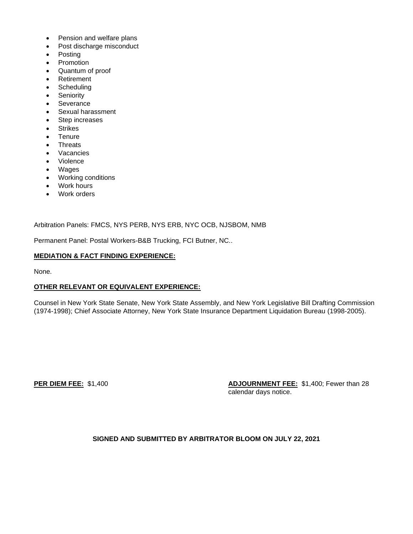- Pension and welfare plans
- Post discharge misconduct
- Posting
- Promotion
- Quantum of proof
- Retirement
- **Scheduling**
- **Seniority**
- Severance
- Sexual harassment
- Step increases
- **Strikes**
- **Tenure**
- **Threats**
- **Vacancies**
- Violence
- Wages
- Working conditions
- Work hours
- Work orders

Arbitration Panels: FMCS, NYS PERB, NYS ERB, NYC OCB, NJSBOM, NMB

Permanent Panel: Postal Workers-B&B Trucking, FCI Butner, NC..

## **MEDIATION & FACT FINDING EXPERIENCE:**

None.

# **OTHER RELEVANT OR EQUIVALENT EXPERIENCE:**

Counsel in New York State Senate, New York State Assembly, and New York Legislative Bill Drafting Commission (1974-1998); Chief Associate Attorney, New York State Insurance Department Liquidation Bureau (1998-2005).

**PER DIEM FEE:** \$1,400 **ADJOURNMENT FEE:** \$1,400; Fewer than 28 calendar days notice.

# **SIGNED AND SUBMITTED BY ARBITRATOR BLOOM ON JULY 22, 2021**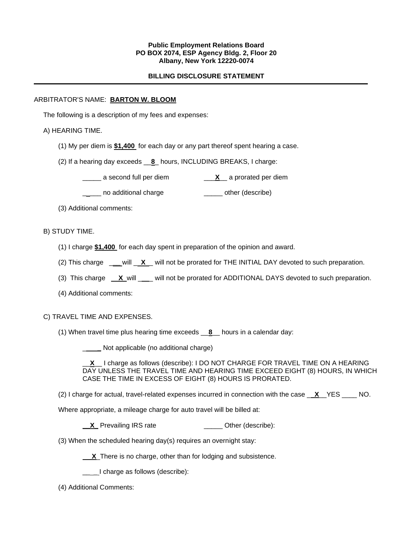### **Public Employment Relations Board PO BOX 2074, ESP Agency Bldg. 2, Floor 20 Albany, New York 12220-0074**

### **BILLING DISCLOSURE STATEMENT**

### ARBITRATOR'S NAME: **BARTON W. BLOOM**

The following is a description of my fees and expenses:

### A) HEARING TIME.

- (1) My per diem is **\$1,400** for each day or any part thereof spent hearing a case.
- (2) If a hearing day exceeds \_\_**8**\_ hours, INCLUDING BREAKS, I charge:
	- \_\_\_\_\_ a second full per diem \_\_\_**X**\_\_ a prorated per diem
	- **\_\_\_\_** no additional charge **\_\_\_\_\_** other (describe)

(3) Additional comments:

## B) STUDY TIME.

- (1) I charge **\$1,400** for each day spent in preparation of the opinion and award.
- (2) This charge \_**\_\_** will \_ **X** \_ will not be prorated for THE INITIAL DAY devoted to such preparation.
- (3) This charge **X** will \_\_ will not be prorated for ADDITIONAL DAYS devoted to such preparation.
- (4) Additional comments:

#### C) TRAVEL TIME AND EXPENSES.

(1) When travel time plus hearing time exceeds \_\_**8**\_\_ hours in a calendar day:

\_ **\_** Not applicable (no additional charge)

\_\_**X**\_\_ I charge as follows (describe): I DO NOT CHARGE FOR TRAVEL TIME ON A HEARING DAY UNLESS THE TRAVEL TIME AND HEARING TIME EXCEED EIGHT (8) HOURS, IN WHICH CASE THE TIME IN EXCESS OF EIGHT (8) HOURS IS PRORATED.

- (2) I charge for actual, travel-related expenses incurred in connection with the case \_ **X**\_\_YES \_\_\_\_ NO.
- Where appropriate, a mileage charge for auto travel will be billed at:

**\_X\_** Prevailing IRS rate \_\_\_\_\_\_\_\_\_\_\_\_\_ Other (describe):

(3) When the scheduled hearing day(s) requires an overnight stay:

**X**\_There is no charge, other than for lodging and subsistence.

 $\angle$   $\angle$  I charge as follows (describe):

(4) Additional Comments: